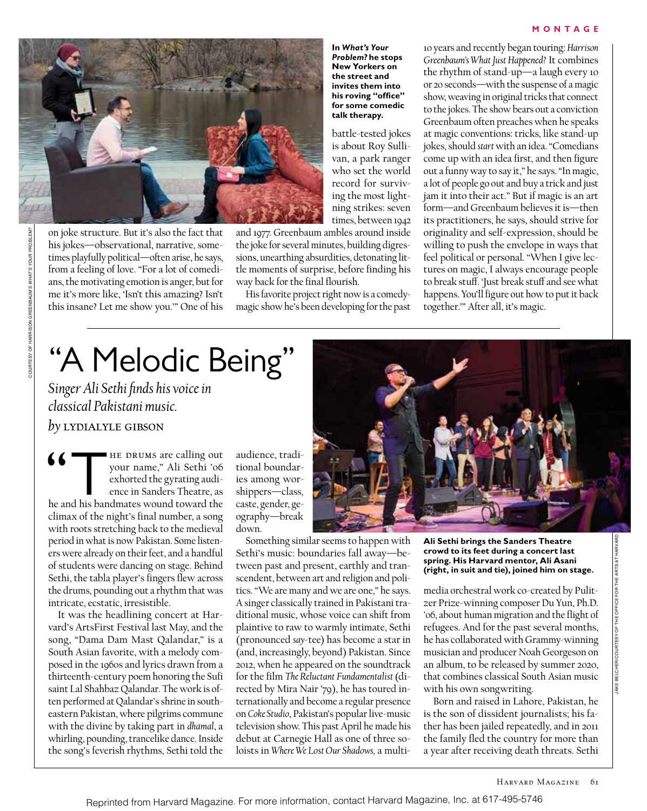#### **MONTAGE**



on joke structure. But it's also the fact that his jokes—observational, narrative, sometimes playfully political—often arise, he says, from a feeling of love. "For a lot of comedians, the motivating emotion is anger, but for me it's more like, 'Isn't this amazing? Isn't this insane? Let me show you.'" One of his

**In** *What's Your Problem?* **he stops New Yorkers on the street and invites them into his roving "office" for some comedic talk therapy.** 

battle-tested jokes is about Roy Sullivan, a park ranger who set the world record for surviving the most lightning strikes: seven times, between 1942

and 1977. Greenbaum ambles around inside the joke for several minutes, building digressions, unearthing absurdities, detonating little moments of surprise, before finding his way back for the final flourish.

His favorite project right now is a comedymagic show he's been developing for the past

10 years and recently began touring: *Harrison Greenbaum's What Just Happened?* It combines the rhythm of stand-up—a laugh every 10 or 20 seconds—with the suspense of a magic show, weaving in original tricks that connect to the jokes. The show bears out a conviction Greenbaum often preaches when he speaks at magic conventions: tricks, like stand-up jokes, should *start* with an idea. "Comedians come up with an idea first, and then figure out a funny way to say it," he says. "In magic, a lot of people go out and buy a trick and just jam it into their act." But if magic is an art form—and Greenbaum believes it is—then its practitioners, he says, should strive for originality and self-expression, should be willing to push the envelope in ways that feel political or personal. "When I give lectures on magic, I always encourage people to break stuff. 'Just break stuff and see what happens. You'll figure out how to put it back together.'" After all, it's magic.

# "A Melodic Being"

*Singer Ali Sethi finds his voice in classical Pakistani music.*

*by* lydialyle gibson

 $\begin{tabular}{ll} \quad \bullet \quad & \begin{tabular}{l} \bf He DRUMs are calling out  
your name," Ali Sethi 'o6  
exhorted the gyrating audi-  
ence in Sanders Theater, as  
he and his bandmates wound toward the \end{tabular} \end{tabular}$ your name," Ali Sethi '06 exhorted the gyrating audience in Sanders Theatre, as climax of the night's final number, a song with roots stretching back to the medieval period in what is now Pakistan. Some listeners were already on their feet, and a handful of students were dancing on stage. Behind Sethi, the tabla player's fingers flew across the drums, pounding out a rhythm that was intricate, ecstatic, irresistible.

It was the headlining concert at Harvard's ArtsFirst Festival last May, and the song, "Dama Dam Mast Qalandar," is a South Asian favorite, with a melody composed in the 1960s and lyrics drawn from a thirteenth-century poem honoring the Sufi saint Lal Shahbaz Qalandar. The work is often performed at Qalandar's shrine in southeastern Pakistan, where pilgrims commune with the divine by taking part in *dhamal*, a whirling, pounding, trancelike dance. Inside the song's feverish rhythms, Sethi told the audience, traditional boundaries among worshippers—class, caste, gender, geography—break down.

Something similar seems to happen with Sethi's music: boundaries fall away—between past and present, earthly and transcendent, between art and religion and politics. "We are many and we are one," he says. A singer classically trained in Pakistani traditional music, whose voice can shift from plaintive to raw to warmly intimate, Sethi (pronounced *say*-tee) has become a star in (and, increasingly, beyond) Pakistan. Since 2012, when he appeared on the soundtrack for the film *The Reluctant Fundamentalist* (directed by Mira Nair '79), he has toured internationally and become a regular presence on *Coke Studio*, Pakistan's popular live-music television show. This past April he made his debut at Carnegie Hall as one of three soloists in *Where We Lost Our Shadows,* a multi-



**Ali Sethi brings the Sanders Theatre crowd to its feet during a concert last spring. His Harvard mentor, Ali Asani (right, in suit and tie), joined him on stage.**

media orchestral work co-created by Pulitzer Prize-winning composer Du Yun, Ph.D. '06, about human migration and the flight of refugees. And for the past several months, he has collaborated with Grammy-winning musician and producer Noah Georgeson on an album, to be released by summer 2020, that combines classical South Asian music with his own songwriting.

Born and raised in Lahore, Pakistan, he is the son of dissident journalists; his father has been jailed repeatedly, and in 2011 the family fled the country for more than a year after receiving death threats. Sethi

COURTESY OF HARRISON GREENBAUM'S *WHAT'S YOUR PROBLEM?*

RTESY OF HARRISON GREENBAUM'S WHAT'S YOUR PROBLEM?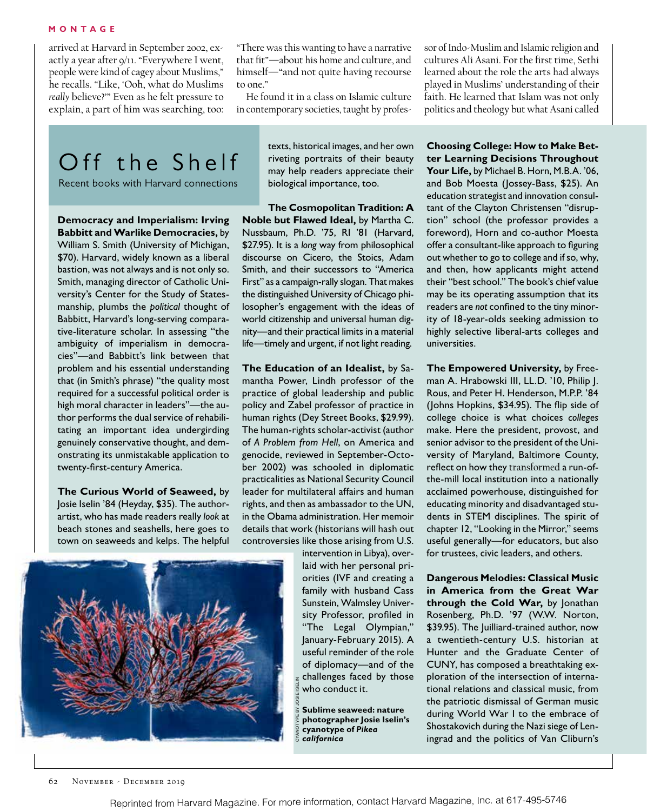arrived at Harvard in September 2002, exactly a year after 9/11. "Everywhere I went, people were kind of cagey about Muslims," he recalls. "Like, 'Ooh, what do Muslims *really* believe?'" Even as he felt pressure to explain, a part of him was searching, too:

"There was this wanting to have a narrative that fit"—about his home and culture, and himself—"and not quite having recourse to one."

He found it in a class on Islamic culture in contemporary societies, taught by professor of Indo-Muslim and Islamic religion and cultures Ali Asani. For the first time, Sethi learned about the role the arts had always played in Muslims' understanding of their faith. He learned that Islam was not only politics and theology but what Asani called

## Off the Shelf

Recent books with Harvard connections

**Democracy and Imperialism: Irving Babbitt and Warlike Democracies,** by William S. Smith (University of Michigan, \$70). Harvard, widely known as a liberal bastion, was not always and is not only so. Smith, managing director of Catholic University's Center for the Study of Statesmanship, plumbs the *political* thought of Babbitt, Harvard's long-serving comparative-literature scholar. In assessing "the ambiguity of imperialism in democracies"—and Babbitt's link between that problem and his essential understanding that (in Smith's phrase) "the quality most required for a successful political order is high moral character in leaders"—the author performs the dual service of rehabilitating an important idea undergirding genuinely conservative thought, and demonstrating its unmistakable application to twenty-first-century America.

**The Curious World of Seaweed,** by Josie Iselin '84 (Heyday, \$35). The authorartist, who has made readers really *look* at beach stones and seashells, here goes to town on seaweeds and kelps. The helpful

texts, historical images, and her own riveting portraits of their beauty may help readers appreciate their biological importance, too.

**The Cosmopolitan Tradition: A Noble but Flawed Ideal,** by Martha C. Nussbaum, Ph.D. '75, RI '81 (Harvard, \$27.95). It is a *long* way from philosophical discourse on Cicero, the Stoics, Adam Smith, and their successors to "America First" as a campaign-rally slogan. That makes the distinguished University of Chicago philosopher's engagement with the ideas of world citizenship and universal human dignity—and their practical limits in a material life—timely and urgent, if not light reading.

**The Education of an Idealist,** by Samantha Power, Lindh professor of the practice of global leadership and public policy and Zabel professor of practice in human rights (Dey Street Books, \$29.99). The human-rights scholar-activist (author of *A Problem from Hell*, on America and genocide, reviewed in September-October 2002) was schooled in diplomatic practicalities as National Security Council leader for multilateral affairs and human rights, and then as ambassador to the UN, in the Obama administration. Her memoir details that work (historians will hash out controversies like those arising from U.S.

> intervention in Libya), overlaid with her personal priorities (IVF and creating a family with husband Cass Sunstein, Walmsley University Professor, profiled in "The Legal Olympian," January-February 2015). A useful reminder of the role of diplomacy—and of the challenges faced by those who conduct it.

**Sublime seaweed: nature photographer Josie Iselin's cyanotype of** *Pikea californica*

**Choosing College: How to Make Better Learning Decisions Throughout Your Life,** by Michael B. Horn, M.B.A. '06, and Bob Moesta (Jossey-Bass, \$25). An education strategist and innovation consultant of the Clayton Christensen "disruption" school (the professor provides a foreword), Horn and co-author Moesta offer a consultant-like approach to figuring out whether to go to college and if so, why, and then, how applicants might attend their "best school." The book's chief value may be its operating assumption that its readers are *not* confined to the tiny minority of 18-year-olds seeking admission to highly selective liberal-arts colleges and universities.

**The Empowered University,** by Freeman A. Hrabowski III, LL.D. '10, Philip J. Rous, and Peter H. Henderson, M.P.P. '84 (Johns Hopkins, \$34.95). The flip side of college choice is what choices *colleges* make. Here the president, provost, and senior advisor to the president of the University of Maryland, Baltimore County, reflect on how they transformed a run-ofthe-mill local institution into a nationally acclaimed powerhouse, distinguished for educating minority and disadvantaged students in STEM disciplines. The spirit of chapter 12, "Looking in the Mirror," seems useful generally—for educators, but also for trustees, civic leaders, and others.

**Dangerous Melodies: Classical Music in America from the Great War through the Cold War,** by Jonathan Rosenberg, Ph.D. '97 (W.W. Norton, \$39.95). The Juilliard-trained author, now a twentieth-century U.S. historian at Hunter and the Graduate Center of CUNY, has composed a breathtaking exploration of the intersection of international relations and classical music, from the patriotic dismissal of German music during World War I to the embrace of Shostakovich during the Nazi siege of Leningrad and the politics of Van Cliburn's



CYANOTYPE BY JOSIE ISELIN

CYANOT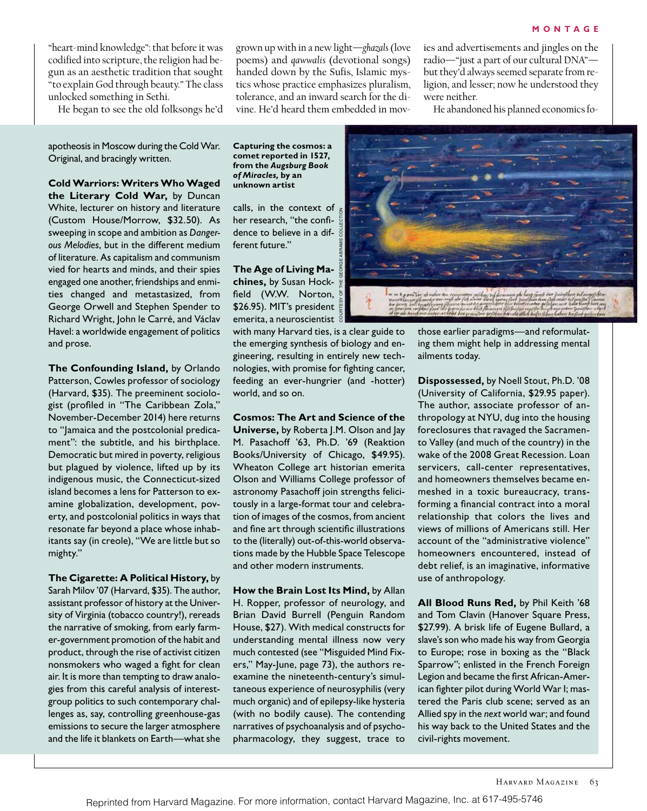"heart-mind knowledge": that before it was codified into scripture, the religion had begun as an aesthetic tradition that sought "to explain God through beauty." The class unlocked something in Sethi.

He began to see the old folksongs he'd

grown up with in a new light—*ghazals* (love poems) and *qawwalis* (devotional songs) handed down by the Sufis, Islamic mystics whose practice emphasizes pluralism, tolerance, and an inward search for the divine. He'd heard them embedded in movies and advertisements and jingles on the radio—"just a part of our cultural DNA" but they'd always seemed separate from religion, and lesser; now he understood they were neither.

He abandoned his planned economics fo-

apotheosis in Moscow during the Cold War. Original, and bracingly written.

**Cold Warriors: Writers Who Waged the Literary Cold War,** by Duncan White, lecturer on history and literature (Custom House/Morrow, \$32.50). As sweeping in scope and ambition as *Dangerous Melodies*, but in the different medium of literature. As capitalism and communism vied for hearts and minds, and their spies engaged one another, friendships and enmities changed and metastasized, from George Orwell and Stephen Spender to Richard Wright, John le Carré, and Václav Havel: a worldwide engagement of politics and prose.

**The Confounding Island,** by Orlando Patterson, Cowles professor of sociology (Harvard, \$35). The preeminent sociologist (profiled in "The Caribbean Zola," November-December 2014) here returns to "Jamaica and the postcolonial predicament": the subtitle, and his birthplace. Democratic but mired in poverty, religious but plagued by violence, lifted up by its indigenous music, the Connecticut-sized island becomes a lens for Patterson to examine globalization, development, poverty, and postcolonial politics in ways that resonate far beyond a place whose inhabitants say (in creole), "We are little but so mighty."

**The Cigarette: A Political History,** by Sarah Milov '07 (Harvard, \$35). The author, assistant professor of history at the University of Virginia (tobacco country!), rereads the narrative of smoking, from early farmer-government promotion of the habit and product, through the rise of activist citizen nonsmokers who waged a fight for clean air. It is more than tempting to draw analogies from this careful analysis of interestgroup politics to such contemporary challenges as, say, controlling greenhouse-gas emissions to secure the larger atmosphere and the life it blankets on Earth—what she

**Capturing the cosmos: a comet reported in 1527, from the** *Augsburg Book of Miracles,* **by an unknown artist**

calls, in the context of her research, "the confidence to believe in a different future."

**The Age of Living Machines,** by Susan Hockfield (W.W. Norton, \$26.95). MIT's president emerita, a neuroscientist

with many Harvard ties, is a clear guide to the emerging synthesis of biology and engineering, resulting in entirely new technologies, with promise for fighting cancer, feeding an ever-hungrier (and -hotter) world, and so on.

**Cosmos: The Art and Science of the Universe,** by Roberta J.M. Olson and Jay M. Pasachoff '63, Ph.D. '69 (Reaktion Books/University of Chicago, \$49.95). Wheaton College art historian emerita Olson and Williams College professor of astronomy Pasachoff join strengths felicitously in a large-format tour and celebration of images of the cosmos, from ancient and fine art through scientific illustrations to the (literally) out-of-this-world observations made by the Hubble Space Telescope and other modern instruments.

**How the Brain Lost Its Mind,** by Allan H. Ropper, professor of neurology, and Brian David Burrell (Penguin Random House, \$27). With medical constructs for understanding mental illness now very much contested (see "Misguided Mind Fixers," May-June, page 73), the authors reexamine the nineteenth-century's simultaneous experience of neurosyphilis (very much organic) and of epilepsy-like hysteria (with no bodily cause). The contending narratives of psychoanalysis and of psychopharmacology, they suggest, trace to



those earlier paradigms—and reformulating them might help in addressing mental ailments today.

**Dispossessed,** by Noell Stout, Ph.D. '08 (University of California, \$29.95 paper). The author, associate professor of anthropology at NYU, dug into the housing foreclosures that ravaged the Sacramento Valley (and much of the country) in the wake of the 2008 Great Recession. Loan servicers, call-center representatives, and homeowners themselves became enmeshed in a toxic bureaucracy, transforming a financial contract into a moral relationship that colors the lives and views of millions of Americans still. Her account of the "administrative violence" homeowners encountered, instead of debt relief, is an imaginative, informative use of anthropology.

**All Blood Runs Red,** by Phil Keith '68 and Tom Clavin (Hanover Square Press, \$27.99). A brisk life of Eugene Bullard, a slave's son who made his way from Georgia to Europe; rose in boxing as the "Black Sparrow"; enlisted in the French Foreign Legion and became the first African-American fighter pilot during World War I; mastered the Paris club scene; served as an Allied spy in the *next* world war; and found his way back to the United States and the civil-rights movement.